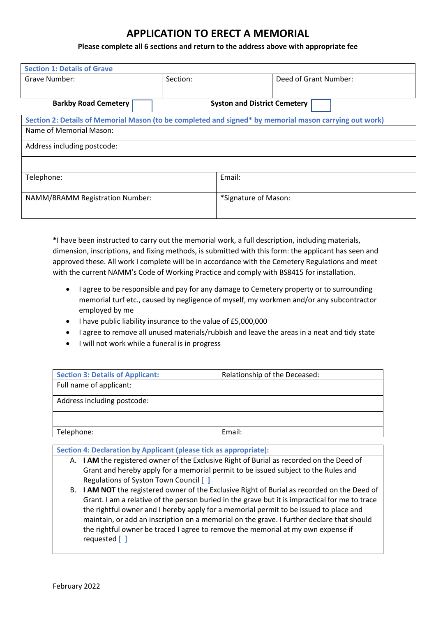### **APPLICATION TO ERECT A MEMORIAL**

#### **Please complete all 6 sections and return to the address above with appropriate fee**

| <b>Section 1: Details of Grave</b>                                                                     |                                     |                      |                       |  |
|--------------------------------------------------------------------------------------------------------|-------------------------------------|----------------------|-----------------------|--|
| Grave Number:                                                                                          | Section:                            |                      | Deed of Grant Number: |  |
|                                                                                                        |                                     |                      |                       |  |
| <b>Barkby Road Cemetery</b>                                                                            | <b>Syston and District Cemetery</b> |                      |                       |  |
| Section 2: Details of Memorial Mason (to be completed and signed* by memorial mason carrying out work) |                                     |                      |                       |  |
| Name of Memorial Mason:                                                                                |                                     |                      |                       |  |
| Address including postcode:                                                                            |                                     |                      |                       |  |
|                                                                                                        |                                     |                      |                       |  |
| Telephone:                                                                                             |                                     | Email:               |                       |  |
| NAMM/BRAMM Registration Number:                                                                        |                                     | *Signature of Mason: |                       |  |

**\***I have been instructed to carry out the memorial work, a full description, including materials, dimension, inscriptions, and fixing methods, is submitted with this form: the applicant has seen and approved these. All work I complete will be in accordance with the Cemetery Regulations and meet with the current NAMM's Code of Working Practice and comply with BS8415 for installation.

- I agree to be responsible and pay for any damage to Cemetery property or to surrounding memorial turf etc., caused by negligence of myself, my workmen and/or any subcontractor employed by me
- I have public liability insurance to the value of £5,000,000
- I agree to remove all unused materials/rubbish and leave the areas in a neat and tidy state
- I will not work while a funeral is in progress

| <b>Section 3: Details of Applicant:</b> | Relationship of the Deceased: |
|-----------------------------------------|-------------------------------|
| Full name of applicant:                 |                               |
| Address including postcode:             |                               |
|                                         |                               |
| Telephone:                              | Email:                        |

### **Section 4: Declaration by Applicant (please tick as appropriate):**

- A. **I AM** the registered owner of the Exclusive Right of Burial as recorded on the Deed of Grant and hereby apply for a memorial permit to be issued subject to the Rules and Regulations of Syston Town Council **[ ]**
- B. **I AM NOT** the registered owner of the Exclusive Right of Burial as recorded on the Deed of Grant. I am a relative of the person buried in the grave but it is impractical for me to trace the rightful owner and I hereby apply for a memorial permit to be issued to place and maintain, or add an inscription on a memorial on the grave. I further declare that should the rightful owner be traced I agree to remove the memorial at my own expense if requested **[ ]**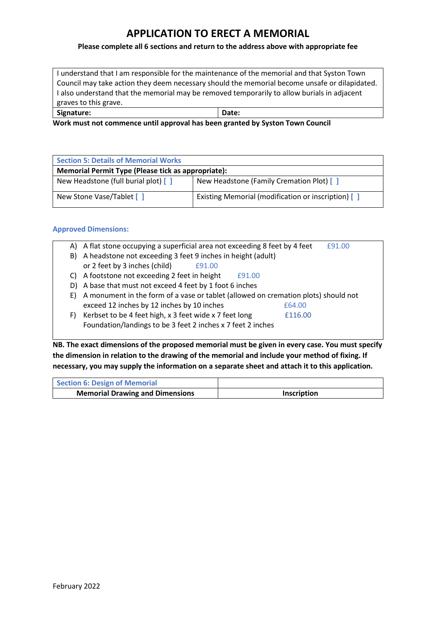# **APPLICATION TO ERECT A MEMORIAL**

### **Please complete all 6 sections and return to the address above with appropriate fee**

I understand that I am responsible for the maintenance of the memorial and that Syston Town Council may take action they deem necessary should the memorial become unsafe or dilapidated. I also understand that the memorial may be removed temporarily to allow burials in adjacent graves to this grave. Signature: **Date: Date: Date:** 

**Work must not commence until approval has been granted by Syston Town Council**

| <b>Section 5: Details of Memorial Works</b>        |                                                     |  |  |
|----------------------------------------------------|-----------------------------------------------------|--|--|
| Memorial Permit Type (Please tick as appropriate): |                                                     |  |  |
| New Headstone (full burial plot) []                | New Headstone (Family Cremation Plot) []            |  |  |
| New Stone Vase/Tablet [ ]                          | Existing Memorial (modification or inscription) [ ] |  |  |

### **Approved Dimensions:**

- A) A flat stone occupying a superficial area not exceeding 8 feet by 4 feet  $£91.00$ B) A headstone not exceeding 3 feet 9 inches in height (adult) or 2 feet by 3 inches (child) £91.00 C) A footstone not exceeding 2 feet in height  $£91.00$ D) A base that must not exceed 4 feet by 1 foot 6 inches E) A monument in the form of a vase or tablet (allowed on cremation plots) should not exceed 12 inches by 12 inches by 10 inches  $£64.00$
- F) Kerbset to be 4 feet high, x 3 feet wide x 7 feet long  $£116.00$ Foundation/landings to be 3 feet 2 inches x 7 feet 2 inches

**NB. The exact dimensions of the proposed memorial must be given in every case. You must specify the dimension in relation to the drawing of the memorial and include your method of fixing. If necessary, you may supply the information on a separate sheet and attach it to this application.** 

| <b>Section 6: Design of Memorial</b>   |             |
|----------------------------------------|-------------|
| <b>Memorial Drawing and Dimensions</b> | Inscription |